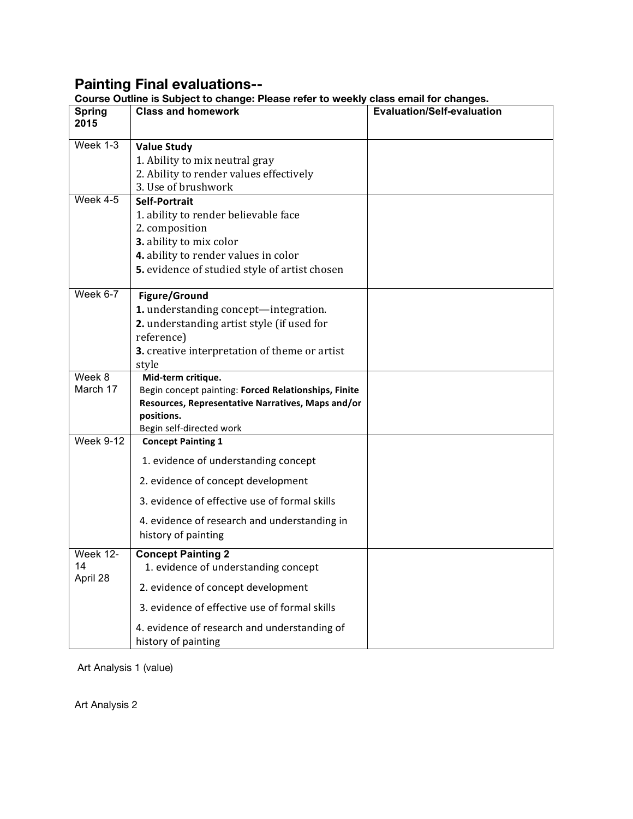## **Painting Final evaluations--**

|                       | Course Outline is Subject to change: Please reler to weekly class email for changes.<br><b>Class and homework</b> | <b>Evaluation/Self-evaluation</b> |
|-----------------------|-------------------------------------------------------------------------------------------------------------------|-----------------------------------|
| <b>Spring</b><br>2015 |                                                                                                                   |                                   |
|                       |                                                                                                                   |                                   |
| Week 1-3              | <b>Value Study</b>                                                                                                |                                   |
|                       | 1. Ability to mix neutral gray                                                                                    |                                   |
|                       | 2. Ability to render values effectively                                                                           |                                   |
|                       | 3. Use of brushwork                                                                                               |                                   |
| Week 4-5              | <b>Self-Portrait</b>                                                                                              |                                   |
|                       | 1. ability to render believable face                                                                              |                                   |
|                       | 2. composition                                                                                                    |                                   |
|                       | 3. ability to mix color                                                                                           |                                   |
|                       | 4. ability to render values in color                                                                              |                                   |
|                       | 5. evidence of studied style of artist chosen                                                                     |                                   |
|                       |                                                                                                                   |                                   |
| Week 6-7              | Figure/Ground                                                                                                     |                                   |
|                       | 1. understanding concept-integration.                                                                             |                                   |
|                       | 2. understanding artist style (if used for                                                                        |                                   |
|                       | reference)                                                                                                        |                                   |
|                       | 3. creative interpretation of theme or artist                                                                     |                                   |
|                       | style                                                                                                             |                                   |
| Week 8                | Mid-term critique.                                                                                                |                                   |
| March 17              | Begin concept painting: Forced Relationships, Finite                                                              |                                   |
|                       | Resources, Representative Narratives, Maps and/or                                                                 |                                   |
|                       | positions.                                                                                                        |                                   |
| <b>Week 9-12</b>      | Begin self-directed work<br><b>Concept Painting 1</b>                                                             |                                   |
|                       |                                                                                                                   |                                   |
|                       | 1. evidence of understanding concept                                                                              |                                   |
|                       | 2. evidence of concept development                                                                                |                                   |
|                       | 3. evidence of effective use of formal skills                                                                     |                                   |
|                       | 4. evidence of research and understanding in                                                                      |                                   |
|                       | history of painting                                                                                               |                                   |
| Week 12-              | <b>Concept Painting 2</b>                                                                                         |                                   |
| 14<br>April 28        | 1. evidence of understanding concept                                                                              |                                   |
|                       | 2. evidence of concept development                                                                                |                                   |
|                       | 3. evidence of effective use of formal skills                                                                     |                                   |
|                       | 4. evidence of research and understanding of                                                                      |                                   |
|                       | history of painting                                                                                               |                                   |

**Course Outline is Subject to change: Please refer to weekly class email for changes.**

Art Analysis 1 (value)

Art Analysis 2